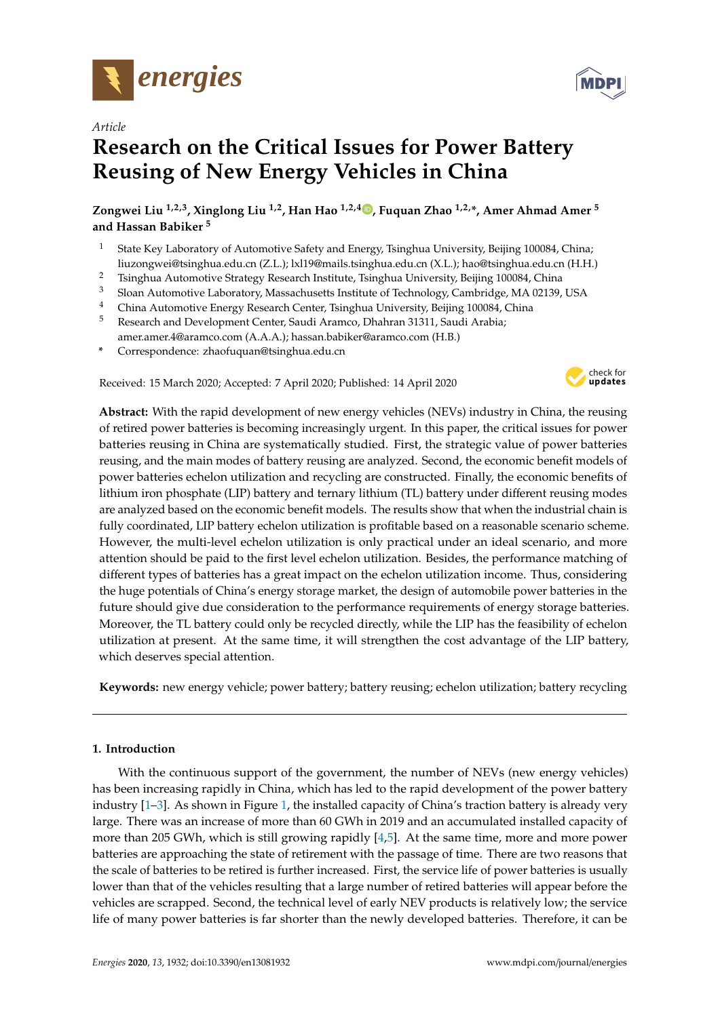

*Article*

# **Research on the Critical Issues for Power Battery Reusing of New Energy Vehicles in China**

**Zongwei Liu 1,2,3, Xinglong Liu 1,2, Han Hao 1,2,[4](https://orcid.org/0000-0001-7542-4746) , Fuquan Zhao 1,2,\*, Amer Ahmad Amer <sup>5</sup> and Hassan Babiker <sup>5</sup>**

- <sup>1</sup> State Key Laboratory of Automotive Safety and Energy, Tsinghua University, Beijing 100084, China; liuzongwei@tsinghua.edu.cn (Z.L.); lxl19@mails.tsinghua.edu.cn (X.L.); hao@tsinghua.edu.cn (H.H.)
- <sup>2</sup> Tsinghua Automotive Strategy Research Institute, Tsinghua University, Beijing 100084, China
- <sup>3</sup> Sloan Automotive Laboratory, Massachusetts Institute of Technology, Cambridge, MA 02139, USA
- <sup>4</sup> China Automotive Energy Research Center, Tsinghua University, Beijing 100084, China
- <sup>5</sup> Research and Development Center, Saudi Aramco, Dhahran 31311, Saudi Arabia; amer.amer.4@aramco.com (A.A.A.); hassan.babiker@aramco.com (H.B.)
- **\*** Correspondence: zhaofuquan@tsinghua.edu.cn

Received: 15 March 2020; Accepted: 7 April 2020; Published: 14 April 2020



**Abstract:** With the rapid development of new energy vehicles (NEVs) industry in China, the reusing of retired power batteries is becoming increasingly urgent. In this paper, the critical issues for power batteries reusing in China are systematically studied. First, the strategic value of power batteries reusing, and the main modes of battery reusing are analyzed. Second, the economic benefit models of power batteries echelon utilization and recycling are constructed. Finally, the economic benefits of lithium iron phosphate (LIP) battery and ternary lithium (TL) battery under different reusing modes are analyzed based on the economic benefit models. The results show that when the industrial chain is fully coordinated, LIP battery echelon utilization is profitable based on a reasonable scenario scheme. However, the multi-level echelon utilization is only practical under an ideal scenario, and more attention should be paid to the first level echelon utilization. Besides, the performance matching of different types of batteries has a great impact on the echelon utilization income. Thus, considering the huge potentials of China's energy storage market, the design of automobile power batteries in the future should give due consideration to the performance requirements of energy storage batteries. Moreover, the TL battery could only be recycled directly, while the LIP has the feasibility of echelon utilization at present. At the same time, it will strengthen the cost advantage of the LIP battery, which deserves special attention.

**Keywords:** new energy vehicle; power battery; battery reusing; echelon utilization; battery recycling

# **1. Introduction**

With the continuous support of the government, the number of NEVs (new energy vehicles) has been increasing rapidly in China, which has led to the rapid development of the power battery industry [\[1–](#page-16-0)[3\]](#page-16-1). As shown in Figure [1,](#page-1-0) the installed capacity of China's traction battery is already very large. There was an increase of more than 60 GWh in 2019 and an accumulated installed capacity of more than 205 GWh, which is still growing rapidly  $[4,5]$  $[4,5]$ . At the same time, more and more power batteries are approaching the state of retirement with the passage of time. There are two reasons that the scale of batteries to be retired is further increased. First, the service life of power batteries is usually lower than that of the vehicles resulting that a large number of retired batteries will appear before the vehicles are scrapped. Second, the technical level of early NEV products is relatively low; the service life of many power batteries is far shorter than the newly developed batteries. Therefore, it can be

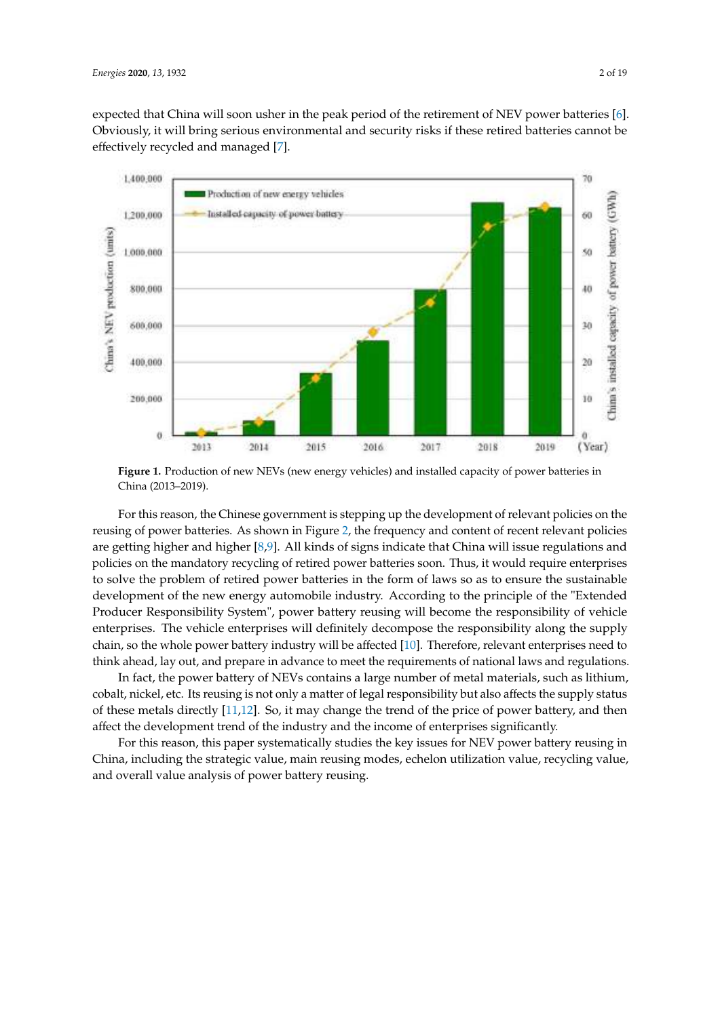expected that China will soon usher in the peak period of the retirement of NEV power batteries [\[6\]](#page-16-4). Obviously, it will bring serious environmental and security risks if these retired batteries cannot be effectively recycled and managed [\[7\]](#page-16-5).

<span id="page-1-0"></span>

**Figure 1.** Production of new NEVs (new energy vehicles) and installed capacity of power batteries in China (2013–2019).

For this reason, the Chinese government is stepping up the development of relevant policies on the reusing of power batteries. As shown in Figure [2,](#page-2-0) the frequency and content of recent relevant policies are getting higher and higher [\[8](#page-16-6)[,9\]](#page-16-7). All kinds of signs indicate that China will issue regulations and policies on the mandatory recycling of retired power batteries soon. Thus, it would require enterprises to solve the problem of retired power batteries in the form of laws so as to ensure the sustainable development of the new energy automobile industry. According to the principle of the "Extended Producer Responsibility System", power battery reusing will become the responsibility of vehicle enterprises. The vehicle enterprises will definitely decompose the responsibility along the supply chain, so the whole power battery industry will be affected [\[10\]](#page-16-8). Therefore, relevant enterprises need to think ahead, lay out, and prepare in advance to meet the requirements of national laws and regulations.

In fact, the power battery of NEVs contains a large number of metal materials, such as lithium, cobalt, nickel, etc. Its reusing is not only a matter of legal responsibility but also affects the supply status of these metals directly [\[11](#page-16-9)[,12\]](#page-17-0). So, it may change the trend of the price of power battery, and then affect the development trend of the industry and the income of enterprises significantly.

For this reason, this paper systematically studies the key issues for NEV power battery reusing in China, including the strategic value, main reusing modes, echelon utilization value, recycling value, and overall value analysis of power battery reusing.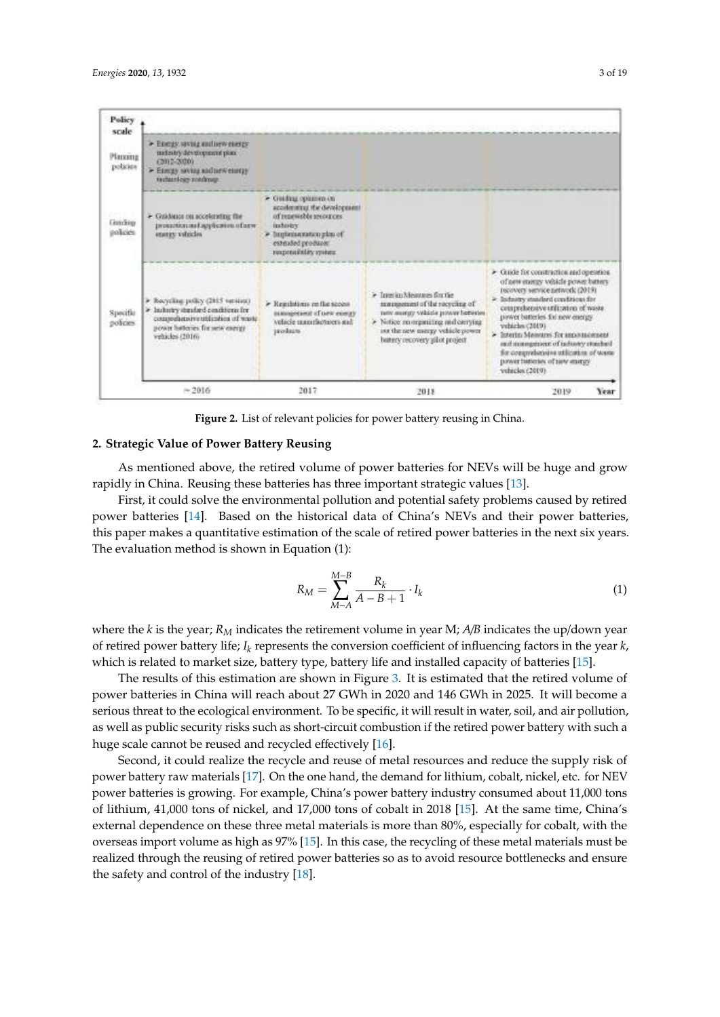<span id="page-2-0"></span>

**Figure 2.** List of relevant policies for power battery reusing in China.

#### **2. Strategic Value of Power Battery Reusing**

As mentioned above, the retired volume of power batteries for NEVs will be huge and grow rapidly in China. Reusing these batteries has three important strategic values [\[13\]](#page-17-1).

First, it could solve the environmental pollution and potential safety problems caused by retired power batteries [\[14\]](#page-17-2). Based on the historical data of China's NEVs and their power batteries, this paper makes a quantitative estimation of the scale of retired power batteries in the next six years. The evaluation method is shown in Equation (1):

$$
R_M = \sum_{M-A}^{M-B} \frac{R_k}{A - B + 1} \cdot I_k
$$
 (1)

where the *k* is the year; *R<sup>M</sup>* indicates the retirement volume in year M; *A*/*B* indicates the up/down year of retired power battery life; *I<sup>k</sup>* represents the conversion coefficient of influencing factors in the year *k*, which is related to market size, battery type, battery life and installed capacity of batteries [\[15\]](#page-17-3).

The results of this estimation are shown in Figure [3.](#page-3-0) It is estimated that the retired volume of power batteries in China will reach about 27 GWh in 2020 and 146 GWh in 2025. It will become a serious threat to the ecological environment. To be specific, it will result in water, soil, and air pollution, as well as public security risks such as short-circuit combustion if the retired power battery with such a huge scale cannot be reused and recycled effectively [\[16\]](#page-17-4).

Second, it could realize the recycle and reuse of metal resources and reduce the supply risk of power battery raw materials [\[17\]](#page-17-5). On the one hand, the demand for lithium, cobalt, nickel, etc. for NEV power batteries is growing. For example, China's power battery industry consumed about 11,000 tons of lithium, 41,000 tons of nickel, and 17,000 tons of cobalt in 2018 [\[15\]](#page-17-3). At the same time, China's external dependence on these three metal materials is more than 80%, especially for cobalt, with the overseas import volume as high as 97% [\[15\]](#page-17-3). In this case, the recycling of these metal materials must be realized through the reusing of retired power batteries so as to avoid resource bottlenecks and ensure the safety and control of the industry [\[18\]](#page-17-6).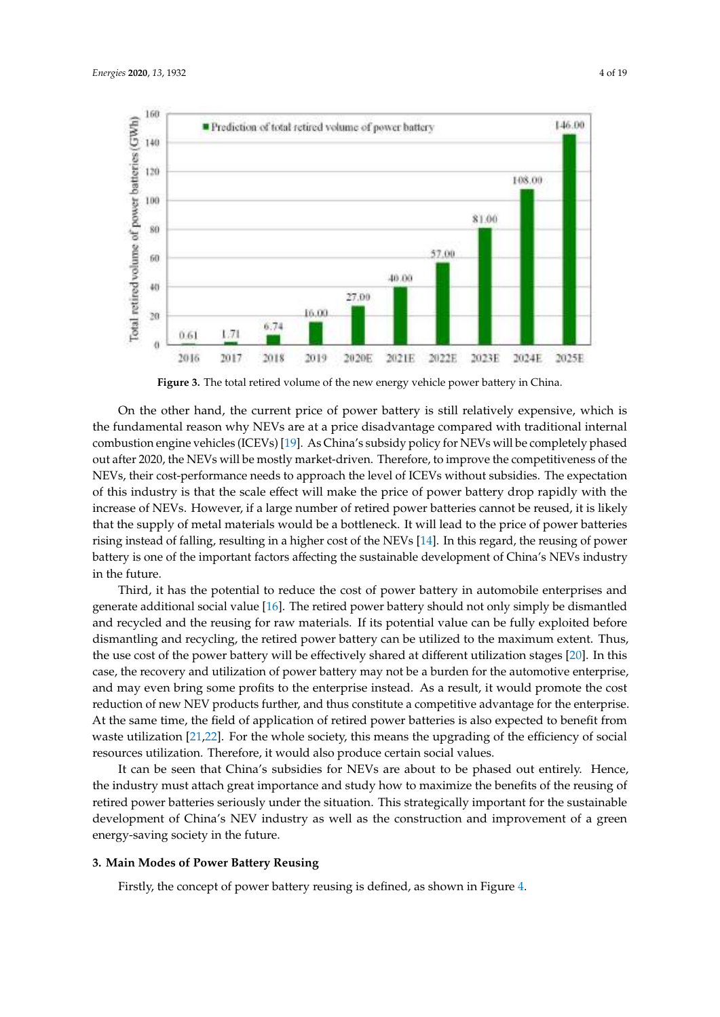<span id="page-3-0"></span>

**Figure 3.** The total retired volume of the new energy vehicle power battery in China.

On the other hand, the current price of power battery is still relatively expensive, which is the fundamental reason why NEVs are at a price disadvantage compared with traditional internal combustion engine vehicles (ICEVs) [\[19\]](#page-17-7). As China's subsidy policy for NEVs will be completely phased out after 2020, the NEVs will be mostly market-driven. Therefore, to improve the competitiveness of the NEVs, their cost-performance needs to approach the level of ICEVs without subsidies. The expectation of this industry is that the scale effect will make the price of power battery drop rapidly with the increase of NEVs. However, if a large number of retired power batteries cannot be reused, it is likely that the supply of metal materials would be a bottleneck. It will lead to the price of power batteries rising instead of falling, resulting in a higher cost of the NEVs [\[14\]](#page-17-2). In this regard, the reusing of power battery is one of the important factors affecting the sustainable development of China's NEVs industry in the future.

Third, it has the potential to reduce the cost of power battery in automobile enterprises and generate additional social value [\[16\]](#page-17-4). The retired power battery should not only simply be dismantled and recycled and the reusing for raw materials. If its potential value can be fully exploited before dismantling and recycling, the retired power battery can be utilized to the maximum extent. Thus, the use cost of the power battery will be effectively shared at different utilization stages [\[20\]](#page-17-8). In this case, the recovery and utilization of power battery may not be a burden for the automotive enterprise, and may even bring some profits to the enterprise instead. As a result, it would promote the cost reduction of new NEV products further, and thus constitute a competitive advantage for the enterprise. At the same time, the field of application of retired power batteries is also expected to benefit from waste utilization  $[21,22]$  $[21,22]$ . For the whole society, this means the upgrading of the efficiency of social resources utilization. Therefore, it would also produce certain social values.

It can be seen that China's subsidies for NEVs are about to be phased out entirely. Hence, the industry must attach great importance and study how to maximize the benefits of the reusing of retired power batteries seriously under the situation. This strategically important for the sustainable development of China's NEV industry as well as the construction and improvement of a green energy-saving society in the future.

# **3. Main Modes of Power Battery Reusing**

Firstly, the concept of power battery reusing is defined, as shown in Figure [4.](#page-4-0)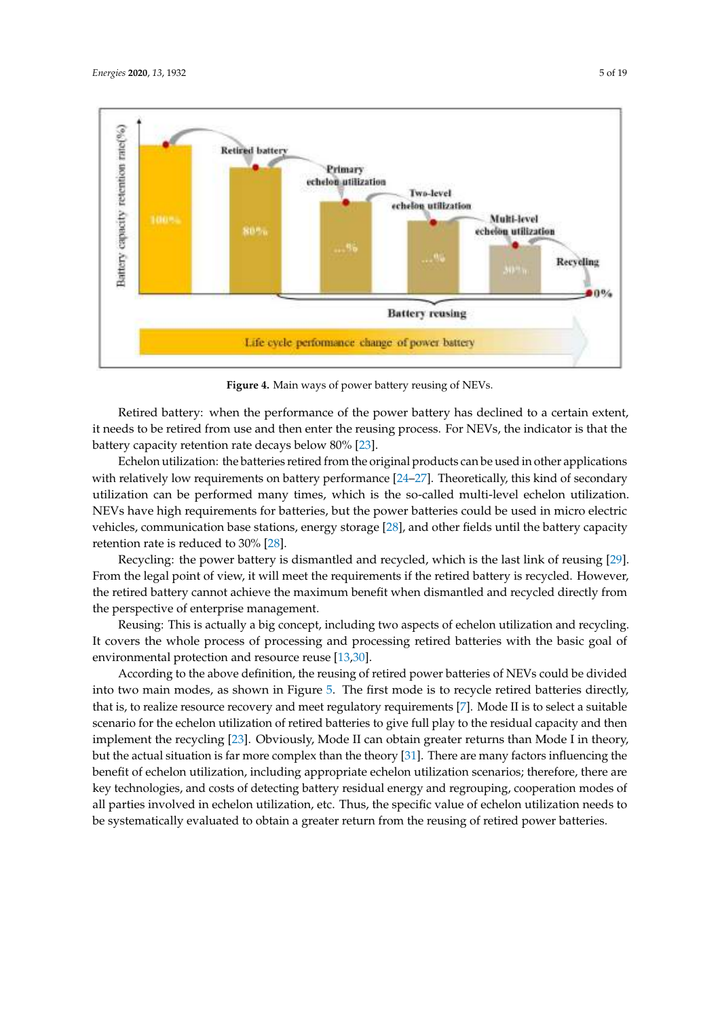<span id="page-4-0"></span>

**Figure 4.** Main ways of power battery reusing of NEVs.

Retired battery: when the performance of the power battery has declined to a certain extent, it needs to be retired from use and then enter the reusing process. For NEVs, the indicator is that the battery capacity retention rate decays below 80% [\[23\]](#page-17-11).

Echelon utilization: the batteries retired from the original products can be used in other applications with relatively low requirements on battery performance [\[24](#page-17-12)[–27\]](#page-17-13). Theoretically, this kind of secondary utilization can be performed many times, which is the so-called multi-level echelon utilization. NEVs have high requirements for batteries, but the power batteries could be used in micro electric vehicles, communication base stations, energy storage [\[28\]](#page-17-14), and other fields until the battery capacity retention rate is reduced to 30% [\[28\]](#page-17-14).

Recycling: the power battery is dismantled and recycled, which is the last link of reusing [\[29\]](#page-17-15). From the legal point of view, it will meet the requirements if the retired battery is recycled. However, the retired battery cannot achieve the maximum benefit when dismantled and recycled directly from the perspective of enterprise management.

Reusing: This is actually a big concept, including two aspects of echelon utilization and recycling. It covers the whole process of processing and processing retired batteries with the basic goal of environmental protection and resource reuse [\[13](#page-17-1)[,30\]](#page-17-16).

According to the above definition, the reusing of retired power batteries of NEVs could be divided into two main modes, as shown in Figure [5.](#page-5-0) The first mode is to recycle retired batteries directly, that is, to realize resource recovery and meet regulatory requirements [\[7\]](#page-16-5). Mode II is to select a suitable scenario for the echelon utilization of retired batteries to give full play to the residual capacity and then implement the recycling [\[23\]](#page-17-11). Obviously, Mode II can obtain greater returns than Mode I in theory, but the actual situation is far more complex than the theory [\[31\]](#page-17-17). There are many factors influencing the benefit of echelon utilization, including appropriate echelon utilization scenarios; therefore, there are key technologies, and costs of detecting battery residual energy and regrouping, cooperation modes of all parties involved in echelon utilization, etc. Thus, the specific value of echelon utilization needs to be systematically evaluated to obtain a greater return from the reusing of retired power batteries.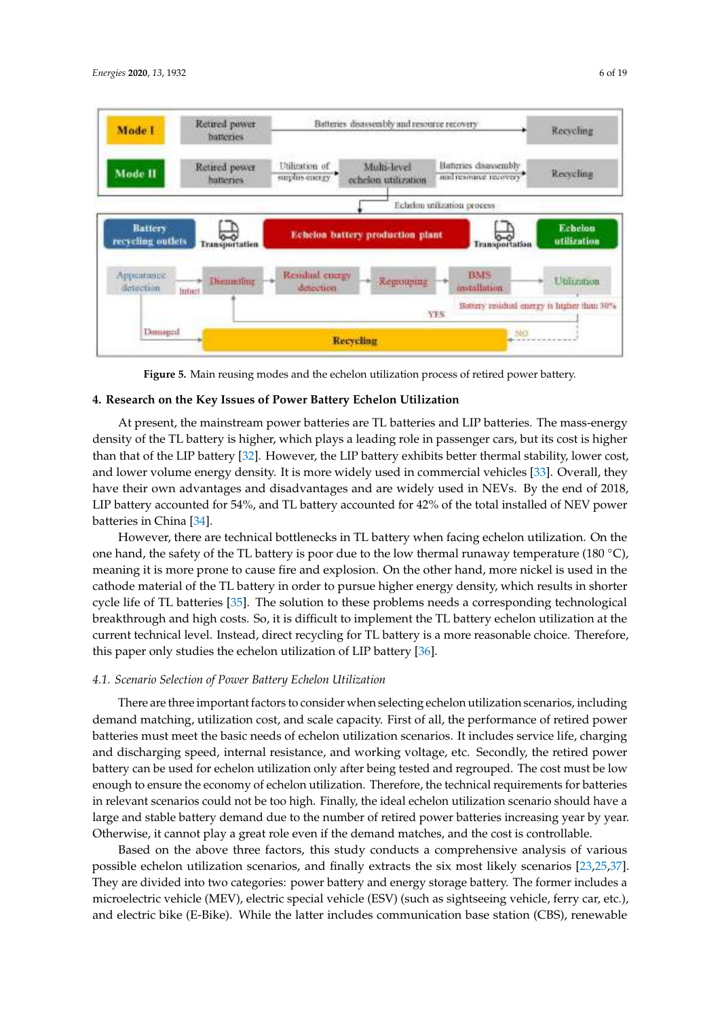<span id="page-5-0"></span>

**Figure 5.** Main reusing modes and the echelon utilization process of retired power battery.

#### **4. Research on the Key Issues of Power Battery Echelon Utilization**

At present, the mainstream power batteries are TL batteries and LIP batteries. The mass-energy density of the TL battery is higher, which plays a leading role in passenger cars, but its cost is higher than that of the LIP battery [\[32\]](#page-17-18). However, the LIP battery exhibits better thermal stability, lower cost, and lower volume energy density. It is more widely used in commercial vehicles [\[33\]](#page-17-19). Overall, they have their own advantages and disadvantages and are widely used in NEVs. By the end of 2018, LIP battery accounted for 54%, and TL battery accounted for 42% of the total installed of NEV power batteries in China [\[34\]](#page-17-20).

However, there are technical bottlenecks in TL battery when facing echelon utilization. On the one hand, the safety of the TL battery is poor due to the low thermal runaway temperature (180 °C), meaning it is more prone to cause fire and explosion. On the other hand, more nickel is used in the cathode material of the TL battery in order to pursue higher energy density, which results in shorter cycle life of TL batteries [\[35\]](#page-18-0). The solution to these problems needs a corresponding technological breakthrough and high costs. So, it is difficult to implement the TL battery echelon utilization at the current technical level. Instead, direct recycling for TL battery is a more reasonable choice. Therefore, this paper only studies the echelon utilization of LIP battery [\[36\]](#page-18-1).

#### *4.1. Scenario Selection of Power Battery Echelon Utilization*

There are three important factors to consider when selecting echelon utilization scenarios, including demand matching, utilization cost, and scale capacity. First of all, the performance of retired power batteries must meet the basic needs of echelon utilization scenarios. It includes service life, charging and discharging speed, internal resistance, and working voltage, etc. Secondly, the retired power battery can be used for echelon utilization only after being tested and regrouped. The cost must be low enough to ensure the economy of echelon utilization. Therefore, the technical requirements for batteries in relevant scenarios could not be too high. Finally, the ideal echelon utilization scenario should have a large and stable battery demand due to the number of retired power batteries increasing year by year. Otherwise, it cannot play a great role even if the demand matches, and the cost is controllable.

Based on the above three factors, this study conducts a comprehensive analysis of various possible echelon utilization scenarios, and finally extracts the six most likely scenarios [\[23,](#page-17-11)[25,](#page-17-21)[37\]](#page-18-2). They are divided into two categories: power battery and energy storage battery. The former includes a microelectric vehicle (MEV), electric special vehicle (ESV) (such as sightseeing vehicle, ferry car, etc.), and electric bike (E-Bike). While the latter includes communication base station (CBS), renewable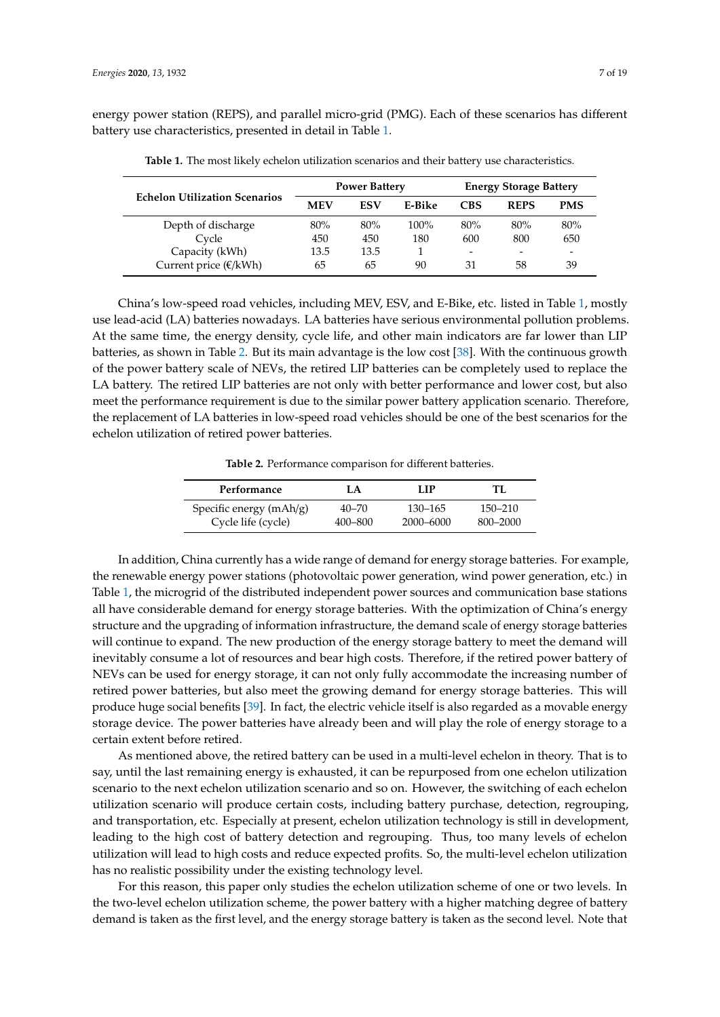<span id="page-6-0"></span>energy power station (REPS), and parallel micro-grid (PMG). Each of these scenarios has different battery use characteristics, presented in detail in Table [1.](#page-6-0)

|                                      |            | <b>Power Battery</b> |         | <b>Energy Storage Battery</b> |             |            |  |
|--------------------------------------|------------|----------------------|---------|-------------------------------|-------------|------------|--|
| <b>Echelon Utilization Scenarios</b> | <b>MEV</b> | ESV                  | E-Bike  | <b>CBS</b>                    | <b>REPS</b> | <b>PMS</b> |  |
| Depth of discharge                   | 80%        | 80%                  | $100\%$ | 80%                           | 80%         | 80%        |  |
| Cycle                                | 450        | 450                  | 180     | 600                           | 800         | 650        |  |
| Capacity (kWh)                       | 13.5       | 13.5                 |         | -                             | -           | -          |  |
| Current price $(\mathcal{E}/kWh)$    | 65         | 65                   | 90      | 31                            | 58          | 39         |  |

**Table 1.** The most likely echelon utilization scenarios and their battery use characteristics.

China's low-speed road vehicles, including MEV, ESV, and E-Bike, etc. listed in Table [1,](#page-6-0) mostly use lead-acid (LA) batteries nowadays. LA batteries have serious environmental pollution problems. At the same time, the energy density, cycle life, and other main indicators are far lower than LIP batteries, as shown in Table [2.](#page-6-1) But its main advantage is the low cost [\[38\]](#page-18-3). With the continuous growth of the power battery scale of NEVs, the retired LIP batteries can be completely used to replace the LA battery. The retired LIP batteries are not only with better performance and lower cost, but also meet the performance requirement is due to the similar power battery application scenario. Therefore, the replacement of LA batteries in low-speed road vehicles should be one of the best scenarios for the echelon utilization of retired power batteries.

**Table 2.** Performance comparison for different batteries.

<span id="page-6-1"></span>

| Performance             | I A       | LIP       | TI.         |
|-------------------------|-----------|-----------|-------------|
| Specific energy (mAh/g) | $40 - 70$ | 130–165   | $150 - 210$ |
| Cycle life (cycle)      | 400–800   | 2000–6000 | 800–2000    |

In addition, China currently has a wide range of demand for energy storage batteries. For example, the renewable energy power stations (photovoltaic power generation, wind power generation, etc.) in Table [1,](#page-6-0) the microgrid of the distributed independent power sources and communication base stations all have considerable demand for energy storage batteries. With the optimization of China's energy structure and the upgrading of information infrastructure, the demand scale of energy storage batteries will continue to expand. The new production of the energy storage battery to meet the demand will inevitably consume a lot of resources and bear high costs. Therefore, if the retired power battery of NEVs can be used for energy storage, it can not only fully accommodate the increasing number of retired power batteries, but also meet the growing demand for energy storage batteries. This will produce huge social benefits [\[39\]](#page-18-4). In fact, the electric vehicle itself is also regarded as a movable energy storage device. The power batteries have already been and will play the role of energy storage to a certain extent before retired.

As mentioned above, the retired battery can be used in a multi-level echelon in theory. That is to say, until the last remaining energy is exhausted, it can be repurposed from one echelon utilization scenario to the next echelon utilization scenario and so on. However, the switching of each echelon utilization scenario will produce certain costs, including battery purchase, detection, regrouping, and transportation, etc. Especially at present, echelon utilization technology is still in development, leading to the high cost of battery detection and regrouping. Thus, too many levels of echelon utilization will lead to high costs and reduce expected profits. So, the multi-level echelon utilization has no realistic possibility under the existing technology level.

For this reason, this paper only studies the echelon utilization scheme of one or two levels. In the two-level echelon utilization scheme, the power battery with a higher matching degree of battery demand is taken as the first level, and the energy storage battery is taken as the second level. Note that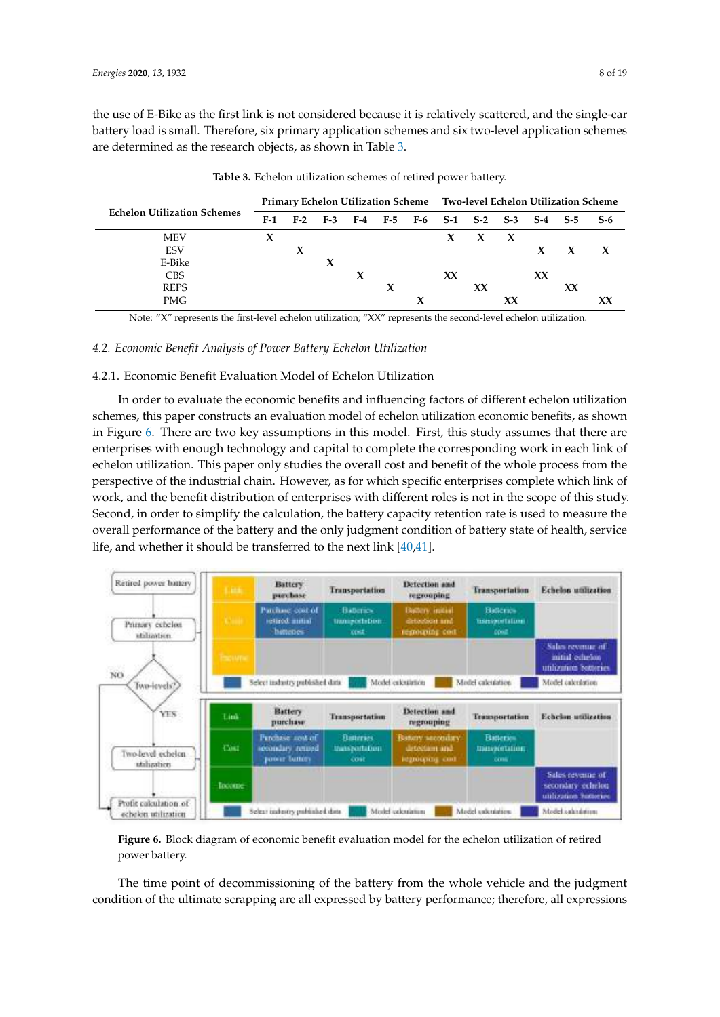the use of E-Bike as the first link is not considered because it is relatively scattered, and the single-car battery load is small. Therefore, six primary application schemes and six two-level application schemes are determined as the research objects, as shown in Table [3.](#page-7-0)

<span id="page-7-0"></span>

|                                    |     |             |     |   | Primary Echelon Utilization Scheme Two-level Echelon Utilization Scheme |  |    |         |    |       |              |              |
|------------------------------------|-----|-------------|-----|---|-------------------------------------------------------------------------|--|----|---------|----|-------|--------------|--------------|
| <b>Echelon Utilization Schemes</b> | F-1 | $F-2$       | F-3 |   | F-4 F-5 F-6 S-1 S-2 S-3                                                 |  |    |         |    | $S-4$ | $S-5$        | $S-6$        |
| <b>MEV</b>                         | X   |             |     |   |                                                                         |  | X  | $X$ $X$ |    |       |              |              |
| <b>ESV</b>                         |     | $\mathbf x$ |     |   |                                                                         |  |    |         |    | X     | $\mathbf{x}$ | $\mathbf{x}$ |
| E-Bike                             |     |             | X   |   |                                                                         |  |    |         |    |       |              |              |
| <b>CBS</b>                         |     |             |     | X |                                                                         |  | XX |         |    | XX    |              |              |
| <b>REPS</b>                        |     |             |     |   | X                                                                       |  |    | XX      |    |       | XX           |              |
| PMG                                |     |             |     |   |                                                                         |  |    |         | XX |       |              |              |

**Table 3.** Echelon utilization schemes of retired power battery.

Note: "X" represents the first-level echelon utilization; "XX" represents the second-level echelon utilization.

#### *4.2. Economic Benefit Analysis of Power Battery Echelon Utilization*

# 4.2.1. Economic Benefit Evaluation Model of Echelon Utilization

In order to evaluate the economic benefits and influencing factors of different echelon utilization schemes, this paper constructs an evaluation model of echelon utilization economic benefits, as shown in Figure [6.](#page-7-1) There are two key assumptions in this model. First, this study assumes that there are enterprises with enough technology and capital to complete the corresponding work in each link of echelon utilization. This paper only studies the overall cost and benefit of the whole process from the perspective of the industrial chain. However, as for which specific enterprises complete which link of work, and the benefit distribution of enterprises with different roles is not in the scope of this study. Second, in order to simplify the calculation, the battery capacity retention rate is used to measure the overall performance of the battery and the only judgment condition of battery state of health, service life, and whether it should be transferred to the next link [\[40](#page-18-5)[,41\]](#page-18-6).

<span id="page-7-1"></span>

**Figure 6.** Block diagram of economic benefit evaluation model for the echelon utilization of retired power battery.

The time point of decommissioning of the battery from the whole vehicle and the judgment condition of the ultimate scrapping are all expressed by battery performance; therefore, all expressions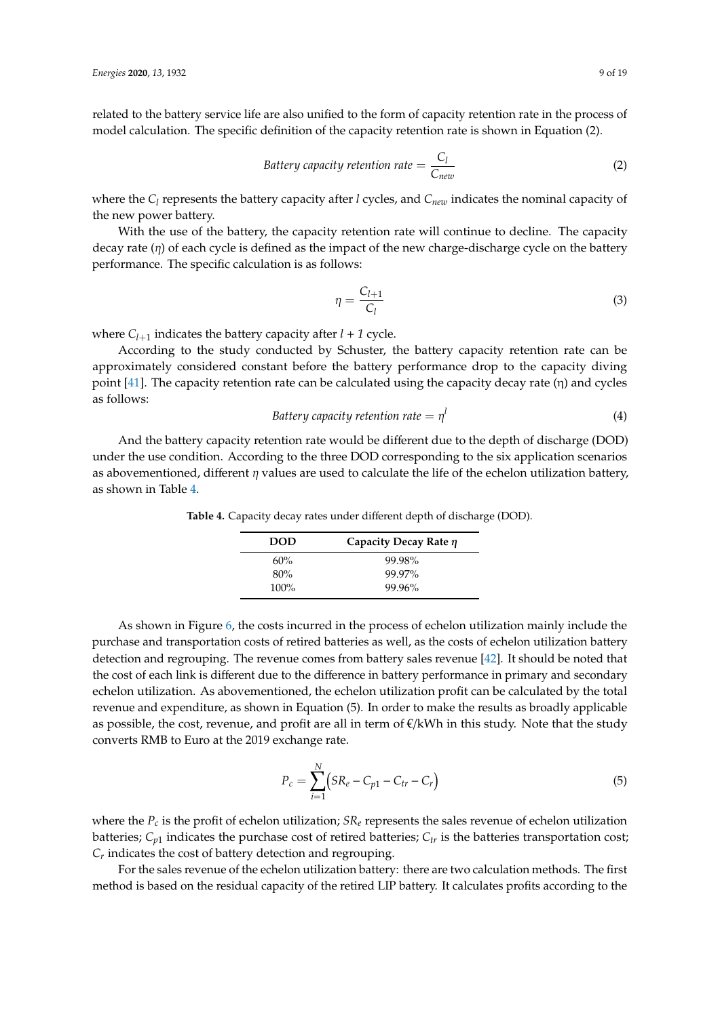related to the battery service life are also unified to the form of capacity retention rate in the process of model calculation. The specific definition of the capacity retention rate is shown in Equation (2).

$$
Battery capacity retention rate = \frac{C_l}{C_{new}}
$$
 (2)

where the  $C_l$  represents the battery capacity after *l* cycles, and  $C_{new}$  indicates the nominal capacity of the new power battery.

With the use of the battery, the capacity retention rate will continue to decline. The capacity decay rate  $(\eta)$  of each cycle is defined as the impact of the new charge-discharge cycle on the battery performance. The specific calculation is as follows:

 $\mathbf{1}$ 

$$
q = \frac{C_{l+1}}{C_l} \tag{3}
$$

where  $C_{l+1}$  indicates the battery capacity after  $l + 1$  cycle.

According to the study conducted by Schuster, the battery capacity retention rate can be approximately considered constant before the battery performance drop to the capacity diving point [\[41\]](#page-18-6). The capacity retention rate can be calculated using the capacity decay rate  $(\eta)$  and cycles as follows:

$$
Buttery capacity retention rate = \eta^l
$$
\n(4)

<span id="page-8-0"></span>And the battery capacity retention rate would be different due to the depth of discharge (DOD) under the use condition. According to the three DOD corresponding to the six application scenarios as abovementioned, different  $\eta$  values are used to calculate the life of the echelon utilization battery, as shown in Table [4.](#page-8-0)

**DOD Capacity Decay Rate** η 60% 99.98% 80% 99.97% 100% 99.96%

**Table 4.** Capacity decay rates under different depth of discharge (DOD).

As shown in Figure [6,](#page-7-1) the costs incurred in the process of echelon utilization mainly include the purchase and transportation costs of retired batteries as well, as the costs of echelon utilization battery detection and regrouping. The revenue comes from battery sales revenue [\[42\]](#page-18-7). It should be noted that the cost of each link is different due to the difference in battery performance in primary and secondary echelon utilization. As abovementioned, the echelon utilization profit can be calculated by the total revenue and expenditure, as shown in Equation (5). In order to make the results as broadly applicable as possible, the cost, revenue, and profit are all in term of  $\epsilon/kWh$  in this study. Note that the study converts RMB to Euro at the 2019 exchange rate.

$$
P_c = \sum_{i=1}^{N} (SR_e - C_{p1} - C_{tr} - C_r)
$$
\n(5)

where the *P<sup>c</sup>* is the profit of echelon utilization; *SR<sup>e</sup>* represents the sales revenue of echelon utilization batteries;  $C_{p1}$  indicates the purchase cost of retired batteries;  $C_{tr}$  is the batteries transportation cost; *Cr* indicates the cost of battery detection and regrouping.

For the sales revenue of the echelon utilization battery: there are two calculation methods. The first method is based on the residual capacity of the retired LIP battery. It calculates profits according to the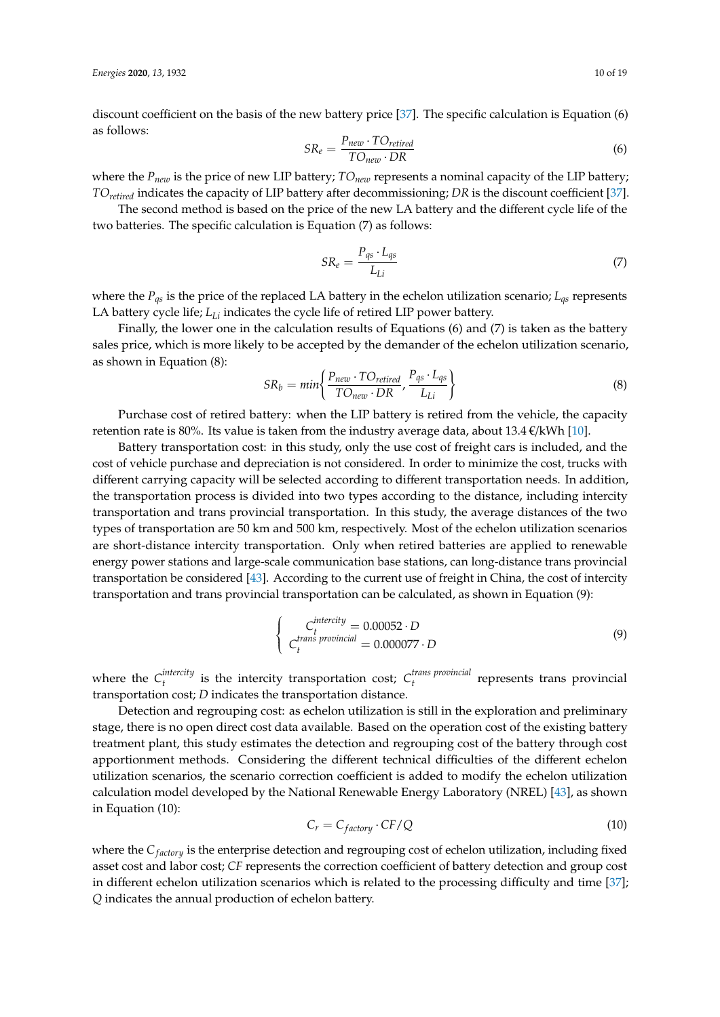discount coefficient on the basis of the new battery price [\[37\]](#page-18-2). The specific calculation is Equation (6) as follows:

$$
SR_e = \frac{P_{new} \cdot TO_{retired}}{TO_{new} \cdot DR}
$$
 (6)

where the  $P_{new}$  is the price of new LIP battery;  $TO_{new}$  represents a nominal capacity of the LIP battery; *TOretired* indicates the capacity of LIP battery after decommissioning; *DR* is the discount coefficient [\[37\]](#page-18-2).

The second method is based on the price of the new LA battery and the different cycle life of the two batteries. The specific calculation is Equation (7) as follows:

$$
SR_e = \frac{P_{qs} \cdot L_{qs}}{L_{Li}} \tag{7}
$$

where the *Pqs* is the price of the replaced LA battery in the echelon utilization scenario; *Lqs* represents LA battery cycle life; *LLi* indicates the cycle life of retired LIP power battery.

Finally, the lower one in the calculation results of Equations (6) and (7) is taken as the battery sales price, which is more likely to be accepted by the demander of the echelon utilization scenario, as shown in Equation (8):

$$
SR_b = min\left\{\frac{P_{new} \cdot TO_{retired}}{TO_{new} \cdot DR}, \frac{P_{qs} \cdot L_{qs}}{L_{Li}}\right\}
$$
(8)

Purchase cost of retired battery: when the LIP battery is retired from the vehicle, the capacity retention rate is 80%. Its value is taken from the industry average data, about 13.4  $\mathcal{E}/kWh$  [\[10\]](#page-16-8).

Battery transportation cost: in this study, only the use cost of freight cars is included, and the cost of vehicle purchase and depreciation is not considered. In order to minimize the cost, trucks with different carrying capacity will be selected according to different transportation needs. In addition, the transportation process is divided into two types according to the distance, including intercity transportation and trans provincial transportation. In this study, the average distances of the two types of transportation are 50 km and 500 km, respectively. Most of the echelon utilization scenarios are short-distance intercity transportation. Only when retired batteries are applied to renewable energy power stations and large-scale communication base stations, can long-distance trans provincial transportation be considered [\[43\]](#page-18-8). According to the current use of freight in China, the cost of intercity transportation and trans provincial transportation can be calculated, as shown in Equation (9):

$$
\begin{cases}\nC_t^{intercity} = 0.00052 \cdot D \\
C_t^{trans}\text{ }provincial} = 0.000077 \cdot D\n\end{cases} \tag{9}
$$

where the  $C_t^{intercity}$ *t*<sup>*thercity*</sup> is the intercity transportation cost;  $C_t^{trans~provincial}$ *t* represents trans provincial transportation cost; *D* indicates the transportation distance.

Detection and regrouping cost: as echelon utilization is still in the exploration and preliminary stage, there is no open direct cost data available. Based on the operation cost of the existing battery treatment plant, this study estimates the detection and regrouping cost of the battery through cost apportionment methods. Considering the different technical difficulties of the different echelon utilization scenarios, the scenario correction coefficient is added to modify the echelon utilization calculation model developed by the National Renewable Energy Laboratory (NREL) [\[43\]](#page-18-8), as shown in Equation (10):

$$
C_r = C_{factory} \cdot CF/Q \tag{10}
$$

where the *C*<sub>*factory*</sub> is the enterprise detection and regrouping cost of echelon utilization, including fixed asset cost and labor cost; *CF* represents the correction coefficient of battery detection and group cost in different echelon utilization scenarios which is related to the processing difficulty and time [\[37\]](#page-18-2); *Q* indicates the annual production of echelon battery.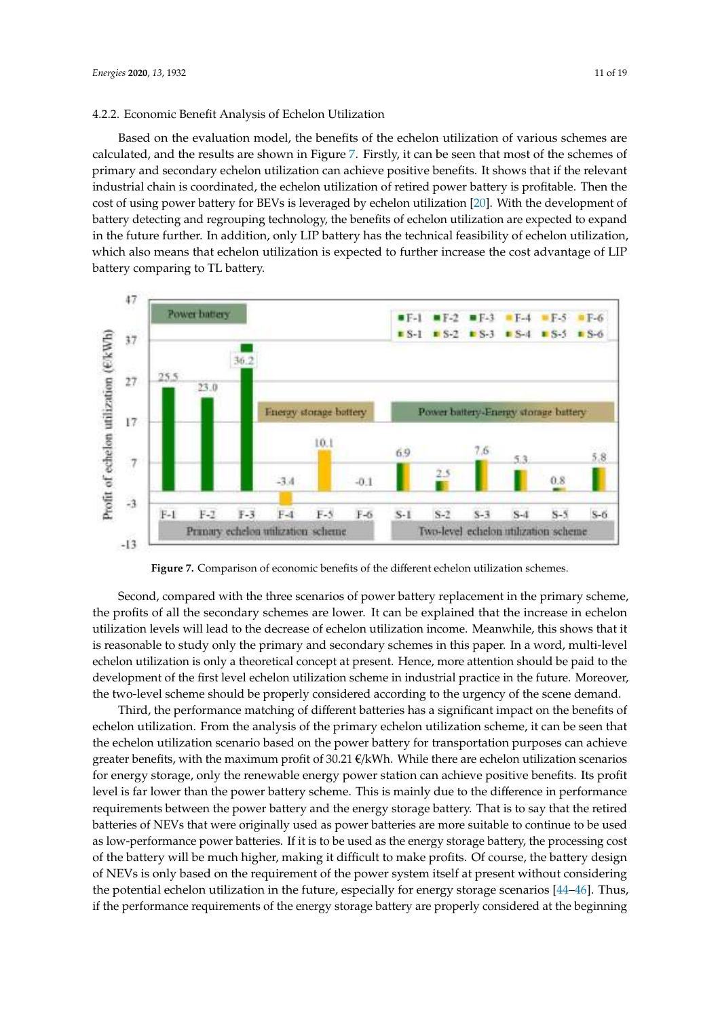#### 4.2.2. Economic Benefit Analysis of Echelon Utilization

Based on the evaluation model, the benefits of the echelon utilization of various schemes are calculated, and the results are shown in Figure [7.](#page-10-0) Firstly, it can be seen that most of the schemes of primary and secondary echelon utilization can achieve positive benefits. It shows that if the relevant industrial chain is coordinated, the echelon utilization of retired power battery is profitable. Then the cost of using power battery for BEVs is leveraged by echelon utilization [\[20\]](#page-17-8). With the development of battery detecting and regrouping technology, the benefits of echelon utilization are expected to expand in the future further. In addition, only LIP battery has the technical feasibility of echelon utilization, which also means that echelon utilization is expected to further increase the cost advantage of LIP battery comparing to TL battery.

<span id="page-10-0"></span>

**Figure 7.** Comparison of economic benefits of the different echelon utilization schemes.

Second, compared with the three scenarios of power battery replacement in the primary scheme, the profits of all the secondary schemes are lower. It can be explained that the increase in echelon utilization levels will lead to the decrease of echelon utilization income. Meanwhile, this shows that it is reasonable to study only the primary and secondary schemes in this paper. In a word, multi-level echelon utilization is only a theoretical concept at present. Hence, more attention should be paid to the development of the first level echelon utilization scheme in industrial practice in the future. Moreover, the two-level scheme should be properly considered according to the urgency of the scene demand.

Third, the performance matching of different batteries has a significant impact on the benefits of echelon utilization. From the analysis of the primary echelon utilization scheme, it can be seen that the echelon utilization scenario based on the power battery for transportation purposes can achieve greater benefits, with the maximum profit of 30.21  $\epsilon/kWh$ . While there are echelon utilization scenarios for energy storage, only the renewable energy power station can achieve positive benefits. Its profit level is far lower than the power battery scheme. This is mainly due to the difference in performance requirements between the power battery and the energy storage battery. That is to say that the retired batteries of NEVs that were originally used as power batteries are more suitable to continue to be used as low-performance power batteries. If it is to be used as the energy storage battery, the processing cost of the battery will be much higher, making it difficult to make profits. Of course, the battery design of NEVs is only based on the requirement of the power system itself at present without considering the potential echelon utilization in the future, especially for energy storage scenarios [\[44](#page-18-9)[–46\]](#page-18-10). Thus, if the performance requirements of the energy storage battery are properly considered at the beginning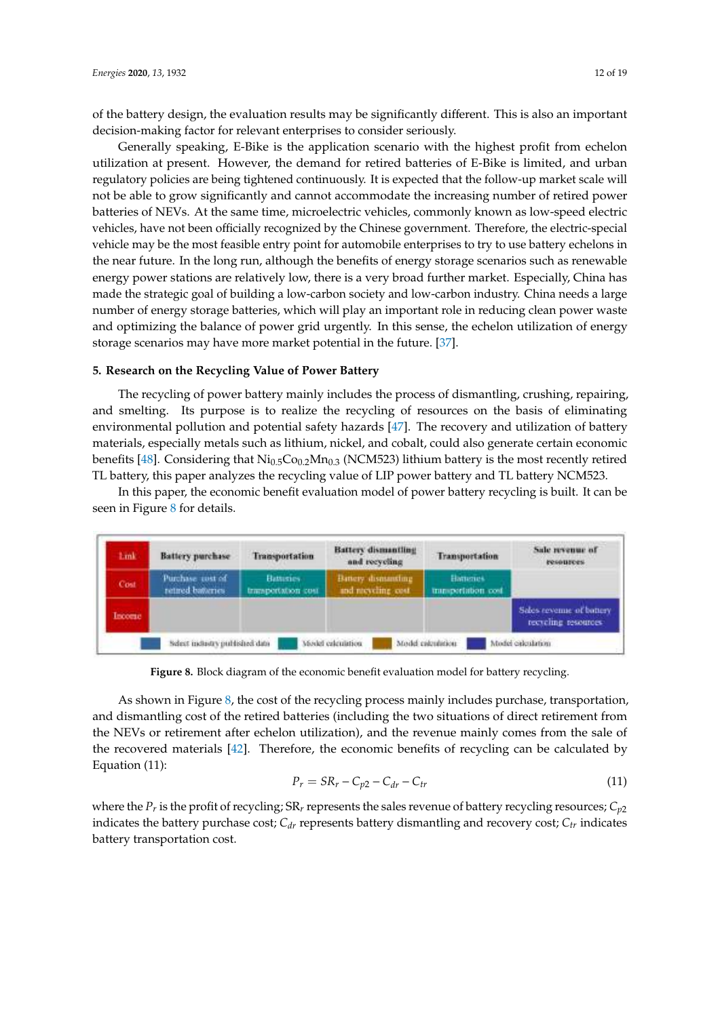of the battery design, the evaluation results may be significantly different. This is also an important decision-making factor for relevant enterprises to consider seriously.

Generally speaking, E-Bike is the application scenario with the highest profit from echelon utilization at present. However, the demand for retired batteries of E-Bike is limited, and urban regulatory policies are being tightened continuously. It is expected that the follow-up market scale will not be able to grow significantly and cannot accommodate the increasing number of retired power batteries of NEVs. At the same time, microelectric vehicles, commonly known as low-speed electric vehicles, have not been officially recognized by the Chinese government. Therefore, the electric-special vehicle may be the most feasible entry point for automobile enterprises to try to use battery echelons in the near future. In the long run, although the benefits of energy storage scenarios such as renewable energy power stations are relatively low, there is a very broad further market. Especially, China has made the strategic goal of building a low-carbon society and low-carbon industry. China needs a large number of energy storage batteries, which will play an important role in reducing clean power waste and optimizing the balance of power grid urgently. In this sense, the echelon utilization of energy storage scenarios may have more market potential in the future. [\[37\]](#page-18-2).

# **5. Research on the Recycling Value of Power Battery**

The recycling of power battery mainly includes the process of dismantling, crushing, repairing, and smelting. Its purpose is to realize the recycling of resources on the basis of eliminating environmental pollution and potential safety hazards [\[47\]](#page-18-11). The recovery and utilization of battery materials, especially metals such as lithium, nickel, and cobalt, could also generate certain economic benefits [\[48\]](#page-18-12). Considering that  $\text{Ni}_{0.5}\text{Co}_{0.2}\text{Mn}_{0.3}$  (NCM523) lithium battery is the most recently retired TL battery, this paper analyzes the recycling value of LIP power battery and TL battery NCM523.

In this paper, the economic benefit evaluation model of power battery recycling is built. It can be seen in Figure [8](#page-11-0) for details.

<span id="page-11-0"></span>

**Figure 8.** Block diagram of the economic benefit evaluation model for battery recycling.

As shown in Figure [8,](#page-11-0) the cost of the recycling process mainly includes purchase, transportation, and dismantling cost of the retired batteries (including the two situations of direct retirement from the NEVs or retirement after echelon utilization), and the revenue mainly comes from the sale of the recovered materials [\[42\]](#page-18-7). Therefore, the economic benefits of recycling can be calculated by Equation (11):

$$
P_r = SR_r - C_{p2} - C_{dr} - C_{tr}
$$
\n(11)

where the  $P_r$  is the profit of recycling; SR<sub>r</sub> represents the sales revenue of battery recycling resources;  $C_{p2}$ indicates the battery purchase cost; *Cdr* represents battery dismantling and recovery cost; *Ctr* indicates battery transportation cost.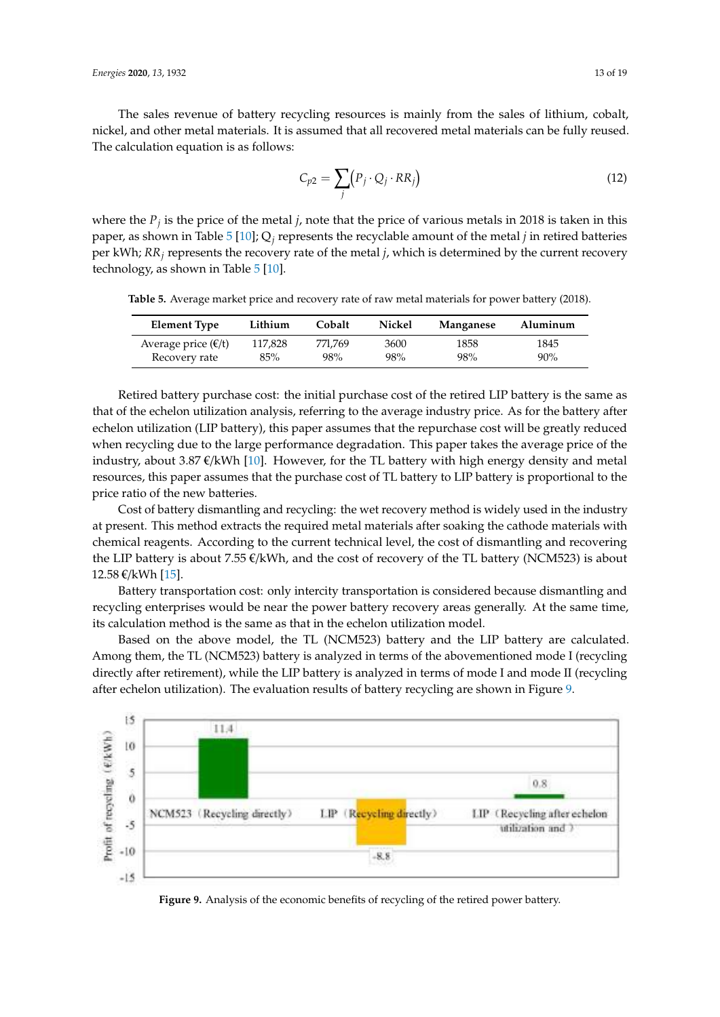The sales revenue of battery recycling resources is mainly from the sales of lithium, cobalt, nickel, and other metal materials. It is assumed that all recovered metal materials can be fully reused. The calculation equation is as follows:

$$
C_{p2} = \sum_{j} (P_j \cdot Q_j \cdot RR_j)
$$
 (12)

where the  $P_j$  is the price of the metal *j*, note that the price of various metals in 2018 is taken in this paper, as shown in Table [5](#page-12-0) [\[10\]](#page-16-8); Q*<sup>j</sup>* represents the recyclable amount of the metal *j* in retired batteries per kWh; *RR<sup>j</sup>* represents the recovery rate of the metal *j*, which is determined by the current recovery technology, as shown in Table [5](#page-12-0) [\[10\]](#page-16-8).

<span id="page-12-0"></span>**Table 5.** Average market price and recovery rate of raw metal materials for power battery (2018).

| Element Type                                   | Lithium | Cobalt  | Nickel | Manganese | Aluminum |
|------------------------------------------------|---------|---------|--------|-----------|----------|
| Average price $(\mathbf{\epsilon}/\mathbf{t})$ | 117.828 | 771.769 | 3600   | 1858      | 1845     |
| Recovery rate                                  | 85%     | 98%     | 98%    | 98%       | 90%      |

Retired battery purchase cost: the initial purchase cost of the retired LIP battery is the same as that of the echelon utilization analysis, referring to the average industry price. As for the battery after echelon utilization (LIP battery), this paper assumes that the repurchase cost will be greatly reduced when recycling due to the large performance degradation. This paper takes the average price of the industry, about 3.87  $\mathcal{E}/kWh$  [\[10\]](#page-16-8). However, for the TL battery with high energy density and metal resources, this paper assumes that the purchase cost of TL battery to LIP battery is proportional to the price ratio of the new batteries.

Cost of battery dismantling and recycling: the wet recovery method is widely used in the industry at present. This method extracts the required metal materials after soaking the cathode materials with chemical reagents. According to the current technical level, the cost of dismantling and recovering the LIP battery is about 7.55  $\epsilon$ /kWh, and the cost of recovery of the TL battery (NCM523) is about 12.58 €/kWh [\[15\]](#page-17-3).

Battery transportation cost: only intercity transportation is considered because dismantling and recycling enterprises would be near the power battery recovery areas generally. At the same time, its calculation method is the same as that in the echelon utilization model.

Based on the above model, the TL (NCM523) battery and the LIP battery are calculated. Among them, the TL (NCM523) battery is analyzed in terms of the abovementioned mode I (recycling directly after retirement), while the LIP battery is analyzed in terms of mode I and mode II (recycling after echelon utilization). The evaluation results of battery recycling are shown in Figure [9.](#page-12-1)

<span id="page-12-1"></span>

**Figure 9.** Analysis of the economic benefits of recycling of the retired power battery.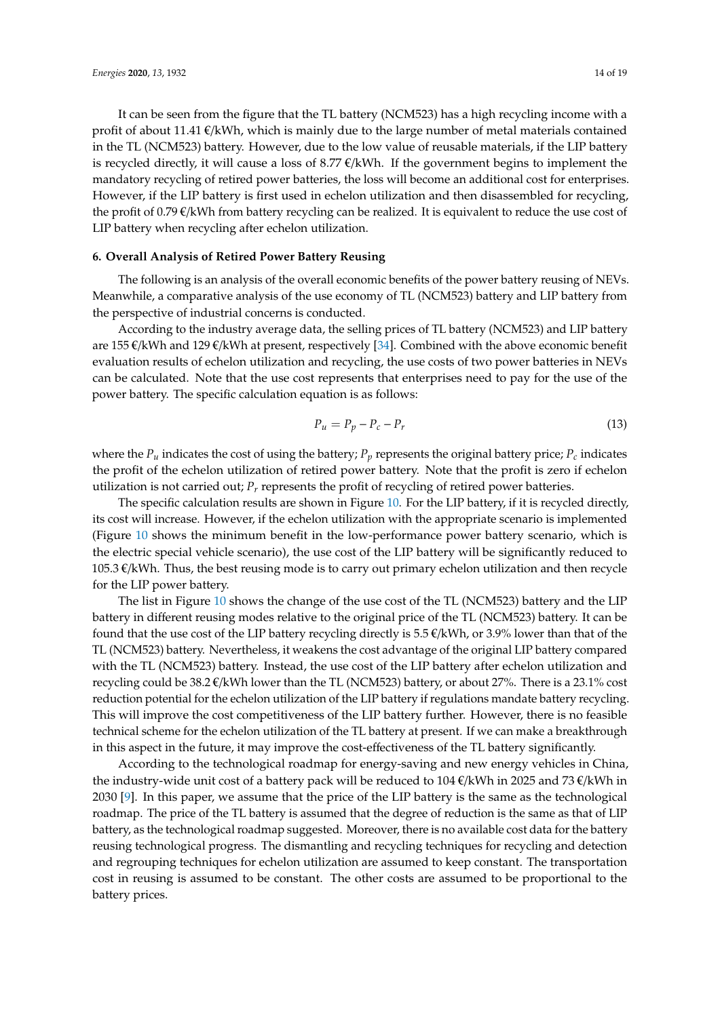It can be seen from the figure that the TL battery (NCM523) has a high recycling income with a profit of about 11.41  $\epsilon$ /kWh, which is mainly due to the large number of metal materials contained

in the TL (NCM523) battery. However, due to the low value of reusable materials, if the LIP battery is recycled directly, it will cause a loss of 8.77  $\epsilon$ /kWh. If the government begins to implement the mandatory recycling of retired power batteries, the loss will become an additional cost for enterprises. However, if the LIP battery is first used in echelon utilization and then disassembled for recycling, the profit of 0.79 €/kWh from battery recycling can be realized. It is equivalent to reduce the use cost of LIP battery when recycling after echelon utilization.

# **6. Overall Analysis of Retired Power Battery Reusing**

The following is an analysis of the overall economic benefits of the power battery reusing of NEVs. Meanwhile, a comparative analysis of the use economy of TL (NCM523) battery and LIP battery from the perspective of industrial concerns is conducted.

According to the industry average data, the selling prices of TL battery (NCM523) and LIP battery are 155 €/kWh and 129 €/kWh at present, respectively [\[34\]](#page-17-20). Combined with the above economic benefit evaluation results of echelon utilization and recycling, the use costs of two power batteries in NEVs can be calculated. Note that the use cost represents that enterprises need to pay for the use of the power battery. The specific calculation equation is as follows:

$$
P_u = P_p - P_c - P_r \tag{13}
$$

where the  $P_u$  indicates the cost of using the battery;  $P_p$  represents the original battery price;  $P_c$  indicates the profit of the echelon utilization of retired power battery. Note that the profit is zero if echelon utilization is not carried out;  $P_r$  represents the profit of recycling of retired power batteries.

The specific calculation results are shown in Figure [10.](#page-14-0) For the LIP battery, if it is recycled directly, its cost will increase. However, if the echelon utilization with the appropriate scenario is implemented (Figure [10](#page-14-0) shows the minimum benefit in the low-performance power battery scenario, which is the electric special vehicle scenario), the use cost of the LIP battery will be significantly reduced to  $105.3 \, \epsilon$ /kWh. Thus, the best reusing mode is to carry out primary echelon utilization and then recycle for the LIP power battery.

The list in Figure [10](#page-14-0) shows the change of the use cost of the TL (NCM523) battery and the LIP battery in different reusing modes relative to the original price of the TL (NCM523) battery. It can be found that the use cost of the LIP battery recycling directly is  $5.5 \in \mathcal{K}$ Wh, or 3.9% lower than that of the TL (NCM523) battery. Nevertheless, it weakens the cost advantage of the original LIP battery compared with the TL (NCM523) battery. Instead, the use cost of the LIP battery after echelon utilization and recycling could be 38.2 €/kWh lower than the TL (NCM523) battery, or about 27%. There is a 23.1% cost reduction potential for the echelon utilization of the LIP battery if regulations mandate battery recycling. This will improve the cost competitiveness of the LIP battery further. However, there is no feasible technical scheme for the echelon utilization of the TL battery at present. If we can make a breakthrough in this aspect in the future, it may improve the cost-effectiveness of the TL battery significantly.

According to the technological roadmap for energy-saving and new energy vehicles in China, the industry-wide unit cost of a battery pack will be reduced to 104  $\epsilon$ /kWh in 2025 and 73  $\epsilon$ /kWh in 2030 [\[9\]](#page-16-7). In this paper, we assume that the price of the LIP battery is the same as the technological roadmap. The price of the TL battery is assumed that the degree of reduction is the same as that of LIP battery, as the technological roadmap suggested. Moreover, there is no available cost data for the battery reusing technological progress. The dismantling and recycling techniques for recycling and detection and regrouping techniques for echelon utilization are assumed to keep constant. The transportation cost in reusing is assumed to be constant. The other costs are assumed to be proportional to the battery prices.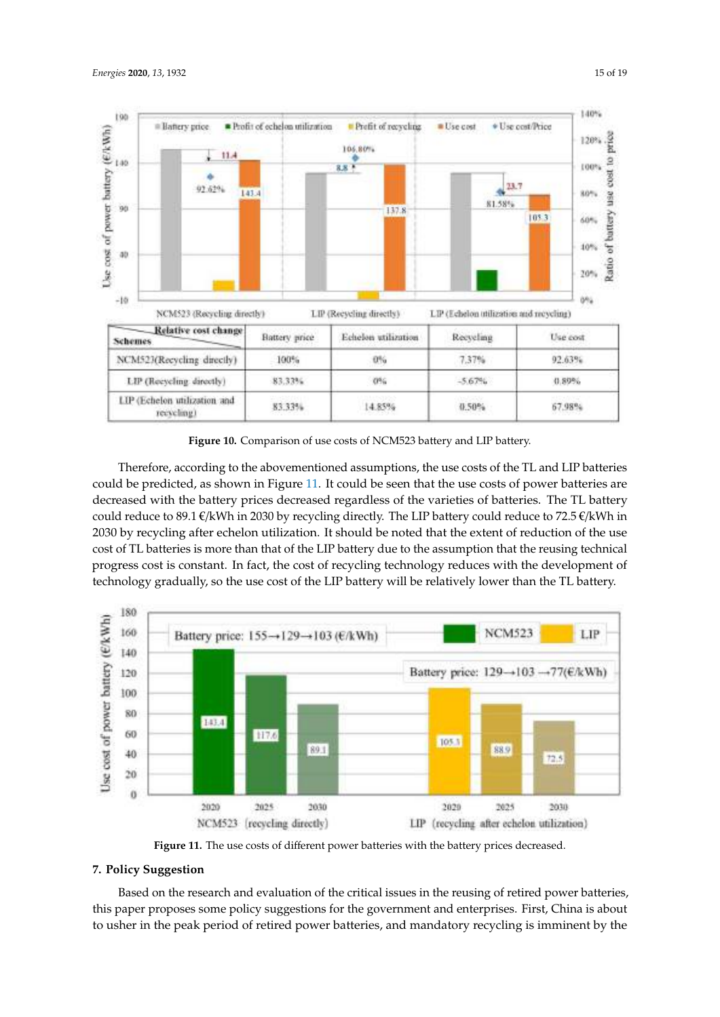<span id="page-14-0"></span>

**Figure 10.** Comparison of use costs of NCM523 battery and LIP battery.

Therefore, according to the abovementioned assumptions, the use costs of the TL and LIP batteries could be predicted, as shown in Figure [11.](#page-14-1) It could be seen that the use costs of power batteries are decreased with the battery prices decreased regardless of the varieties of batteries. The TL battery could reduce to 89.1 €/kWh in 2030 by recycling directly. The LIP battery could reduce to 72.5 €/kWh in 2030 by recycling after echelon utilization. It should be noted that the extent of reduction of the use cost of TL batteries is more than that of the LIP battery due to the assumption that the reusing technical progress cost is constant. In fact, the cost of recycling technology reduces with the development of technology gradually, so the use cost of the LIP battery will be relatively lower than the TL battery.

<span id="page-14-1"></span>

**Figure 11.** The use costs of different power batteries with the battery prices decreased.

# **7. Policy Suggestion**

Based on the research and evaluation of the critical issues in the reusing of retired power batteries, this paper proposes some policy suggestions for the government and enterprises. First, China is about to usher in the peak period of retired power batteries, and mandatory recycling is imminent by the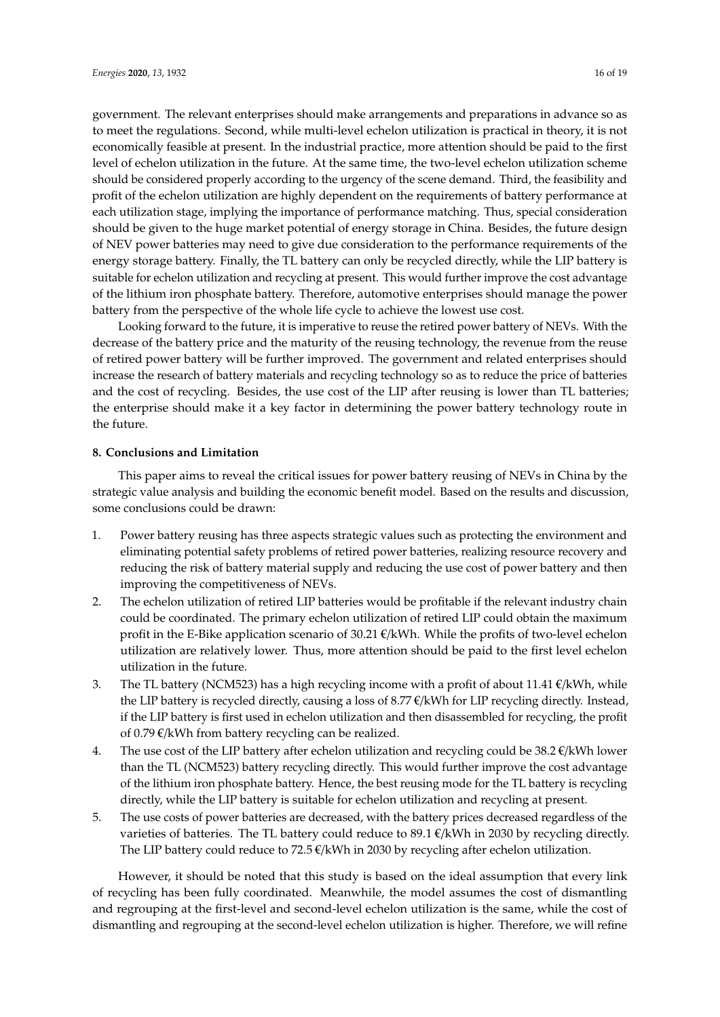government. The relevant enterprises should make arrangements and preparations in advance so as to meet the regulations. Second, while multi-level echelon utilization is practical in theory, it is not economically feasible at present. In the industrial practice, more attention should be paid to the first level of echelon utilization in the future. At the same time, the two-level echelon utilization scheme should be considered properly according to the urgency of the scene demand. Third, the feasibility and profit of the echelon utilization are highly dependent on the requirements of battery performance at each utilization stage, implying the importance of performance matching. Thus, special consideration should be given to the huge market potential of energy storage in China. Besides, the future design of NEV power batteries may need to give due consideration to the performance requirements of the energy storage battery. Finally, the TL battery can only be recycled directly, while the LIP battery is suitable for echelon utilization and recycling at present. This would further improve the cost advantage of the lithium iron phosphate battery. Therefore, automotive enterprises should manage the power battery from the perspective of the whole life cycle to achieve the lowest use cost.

Looking forward to the future, it is imperative to reuse the retired power battery of NEVs. With the decrease of the battery price and the maturity of the reusing technology, the revenue from the reuse of retired power battery will be further improved. The government and related enterprises should increase the research of battery materials and recycling technology so as to reduce the price of batteries and the cost of recycling. Besides, the use cost of the LIP after reusing is lower than TL batteries; the enterprise should make it a key factor in determining the power battery technology route in the future.

#### **8. Conclusions and Limitation**

This paper aims to reveal the critical issues for power battery reusing of NEVs in China by the strategic value analysis and building the economic benefit model. Based on the results and discussion, some conclusions could be drawn:

- 1. Power battery reusing has three aspects strategic values such as protecting the environment and eliminating potential safety problems of retired power batteries, realizing resource recovery and reducing the risk of battery material supply and reducing the use cost of power battery and then improving the competitiveness of NEVs.
- 2. The echelon utilization of retired LIP batteries would be profitable if the relevant industry chain could be coordinated. The primary echelon utilization of retired LIP could obtain the maximum profit in the E-Bike application scenario of 30.21 €/kWh. While the profits of two-level echelon utilization are relatively lower. Thus, more attention should be paid to the first level echelon utilization in the future.
- 3. The TL battery (NCM523) has a high recycling income with a profit of about 11.41  $\epsilon/kWh$ , while the LIP battery is recycled directly, causing a loss of 8.77 €/kWh for LIP recycling directly. Instead, if the LIP battery is first used in echelon utilization and then disassembled for recycling, the profit of 0.79 €/kWh from battery recycling can be realized.
- 4. The use cost of the LIP battery after echelon utilization and recycling could be  $38.2 \text{ }\epsilon/\text{kWh}$  lower than the TL (NCM523) battery recycling directly. This would further improve the cost advantage of the lithium iron phosphate battery. Hence, the best reusing mode for the TL battery is recycling directly, while the LIP battery is suitable for echelon utilization and recycling at present.
- 5. The use costs of power batteries are decreased, with the battery prices decreased regardless of the varieties of batteries. The TL battery could reduce to 89.1  $\epsilon/kWh$  in 2030 by recycling directly. The LIP battery could reduce to  $72.5 \, \text{C/KWh}$  in 2030 by recycling after echelon utilization.

However, it should be noted that this study is based on the ideal assumption that every link of recycling has been fully coordinated. Meanwhile, the model assumes the cost of dismantling and regrouping at the first-level and second-level echelon utilization is the same, while the cost of dismantling and regrouping at the second-level echelon utilization is higher. Therefore, we will refine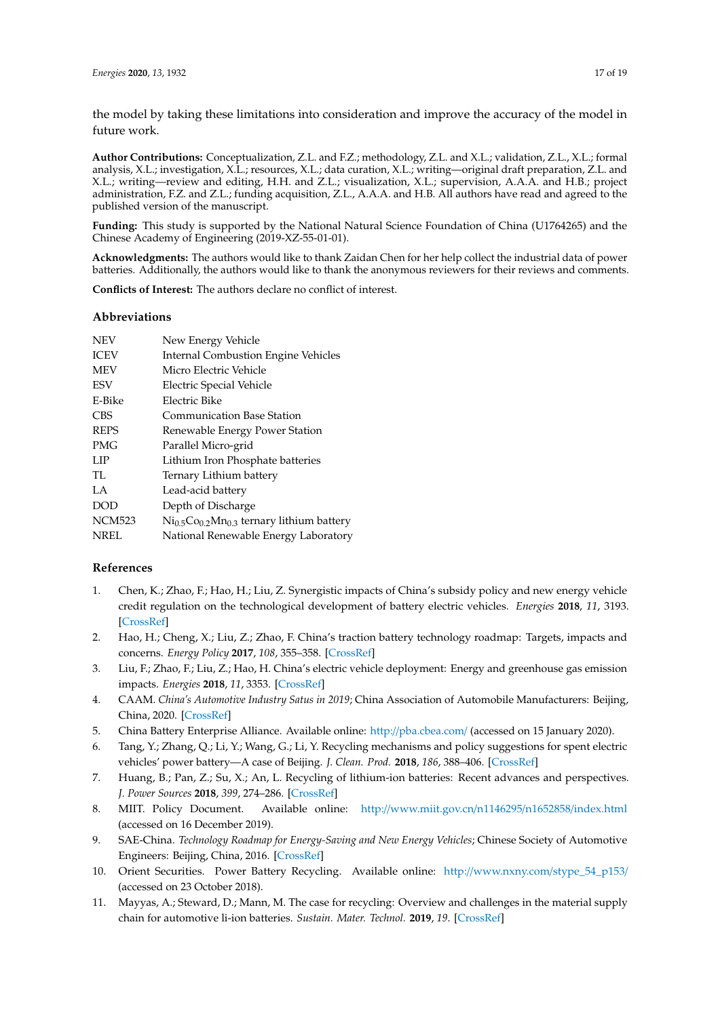the model by taking these limitations into consideration and improve the accuracy of the model in future work.

**Author Contributions:** Conceptualization, Z.L. and F.Z.; methodology, Z.L. and X.L.; validation, Z.L., X.L.; formal analysis, X.L.; investigation, X.L.; resources, X.L.; data curation, X.L.; writing—original draft preparation, Z.L. and X.L.; writing—review and editing, H.H. and Z.L.; visualization, X.L.; supervision, A.A.A. and H.B.; project administration, F.Z. and Z.L.; funding acquisition, Z.L., A.A.A. and H.B. All authors have read and agreed to the published version of the manuscript.

**Funding:** This study is supported by the National Natural Science Foundation of China (U1764265) and the Chinese Academy of Engineering (2019-XZ-55-01-01).

**Acknowledgments:** The authors would like to thank Zaidan Chen for her help collect the industrial data of power batteries. Additionally, the authors would like to thank the anonymous reviewers for their reviews and comments.

**Conflicts of Interest:** The authors declare no conflict of interest.

#### **Abbreviations**

| <b>NEV</b>    | New Energy Vehicle                                                            |
|---------------|-------------------------------------------------------------------------------|
| <b>ICEV</b>   | <b>Internal Combustion Engine Vehicles</b>                                    |
| <b>MEV</b>    | Micro Electric Vehicle                                                        |
| <b>ESV</b>    | Electric Special Vehicle                                                      |
| E-Bike        | Electric Bike                                                                 |
| <b>CBS</b>    | <b>Communication Base Station</b>                                             |
| <b>REPS</b>   | Renewable Energy Power Station                                                |
| PMG           | Parallel Micro-grid                                                           |
| LIP           | Lithium Iron Phosphate batteries                                              |
| TL            | Ternary Lithium battery                                                       |
| LA            | Lead-acid battery                                                             |
| <b>DOD</b>    | Depth of Discharge                                                            |
| <b>NCM523</b> | $\mathrm{Ni}_{0.5}\mathrm{Co}_{0.2}\mathrm{Mn}_{0.3}$ ternary lithium battery |
| <b>NREL</b>   | National Renewable Energy Laboratory                                          |

#### **References**

- <span id="page-16-0"></span>1. Chen, K.; Zhao, F.; Hao, H.; Liu, Z. Synergistic impacts of China's subsidy policy and new energy vehicle credit regulation on the technological development of battery electric vehicles. *Energies* **2018**, *11*, 3193. [\[CrossRef\]](http://dx.doi.org/10.3390/en11113193)
- 2. Hao, H.; Cheng, X.; Liu, Z.; Zhao, F. China's traction battery technology roadmap: Targets, impacts and concerns. *Energy Policy* **2017**, *108*, 355–358. [\[CrossRef\]](http://dx.doi.org/10.1016/j.enpol.2017.06.011)
- <span id="page-16-1"></span>3. Liu, F.; Zhao, F.; Liu, Z.; Hao, H. China's electric vehicle deployment: Energy and greenhouse gas emission impacts. *Energies* **2018**, *11*, 3353. [\[CrossRef\]](http://dx.doi.org/10.3390/en11123353)
- <span id="page-16-2"></span>4. CAAM. *China's Automotive Industry Satus in 2019*; China Association of Automobile Manufacturers: Beijing, China, 2020. [\[CrossRef\]](http://dx.doi.org/10.1016/j.procir.2015.02.039)
- <span id="page-16-3"></span>5. China Battery Enterprise Alliance. Available online: http://[pba.cbea.com](http://pba.cbea.com/)/ (accessed on 15 January 2020).
- <span id="page-16-4"></span>6. Tang, Y.; Zhang, Q.; Li, Y.; Wang, G.; Li, Y. Recycling mechanisms and policy suggestions for spent electric vehicles' power battery—A case of Beijing. *J. Clean. Prod.* **2018**, *186*, 388–406. [\[CrossRef\]](http://dx.doi.org/10.1016/j.jclepro.2018.03.043)
- <span id="page-16-5"></span>7. Huang, B.; Pan, Z.; Su, X.; An, L. Recycling of lithium-ion batteries: Recent advances and perspectives. *J. Power Sources* **2018**, *399*, 274–286. [\[CrossRef\]](http://dx.doi.org/10.1016/j.jpowsour.2018.07.116)
- <span id="page-16-6"></span>8. MIIT. Policy Document. Available online: http://[www.miit.gov.cn](http://www.miit.gov.cn/n1146295/n1652858/index.html)/n1146295/n1652858/index.html (accessed on 16 December 2019).
- <span id="page-16-7"></span>9. SAE-China. *Technology Roadmap for Energy-Saving and New Energy Vehicles*; Chinese Society of Automotive Engineers: Beijing, China, 2016. [\[CrossRef\]](http://dx.doi.org/10.1016/j.resconrec.2018.09.012)
- <span id="page-16-8"></span>10. Orient Securities. Power Battery Recycling. Available online: http://[www.nxny.com](http://www.nxny.com/stype_54_p153/)/stype\_54\_p153/ (accessed on 23 October 2018).
- <span id="page-16-9"></span>11. Mayyas, A.; Steward, D.; Mann, M. The case for recycling: Overview and challenges in the material supply chain for automotive li-ion batteries. *Sustain. Mater. Technol.* **2019**, *19*. [\[CrossRef\]](http://dx.doi.org/10.1016/j.susmat.2018.e00087)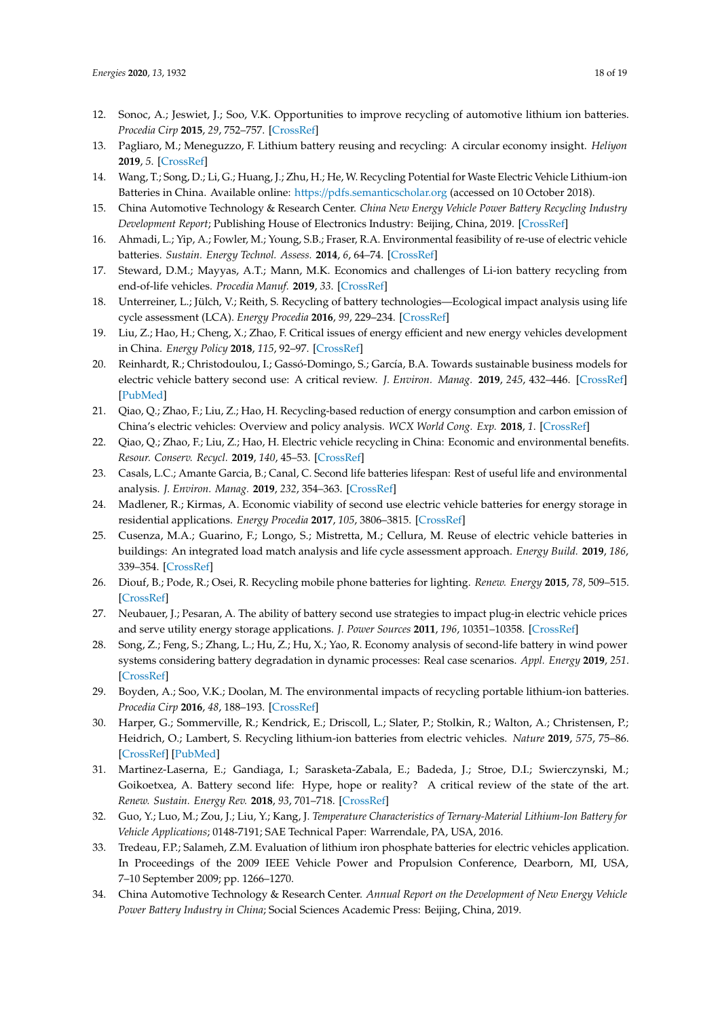- <span id="page-17-0"></span>12. Sonoc, A.; Jeswiet, J.; Soo, V.K. Opportunities to improve recycling of automotive lithium ion batteries. *Procedia Cirp* **2015**, *29*, 752–757. [\[CrossRef\]](http://dx.doi.org/10.1016/j.procir.2015.02.039)
- <span id="page-17-1"></span>13. Pagliaro, M.; Meneguzzo, F. Lithium battery reusing and recycling: A circular economy insight. *Heliyon* **2019**, *5*. [\[CrossRef\]](http://dx.doi.org/10.1016/j.heliyon.2019.e01866)
- <span id="page-17-2"></span>14. Wang, T.; Song, D.; Li, G.; Huang, J.; Zhu, H.; He, W. Recycling Potential for Waste Electric Vehicle Lithium-ion Batteries in China. Available online: https://[pdfs.semanticscholar.org](https://pdfs.semanticscholar.org) (accessed on 10 October 2018).
- <span id="page-17-3"></span>15. China Automotive Technology & Research Center. *China New Energy Vehicle Power Battery Recycling Industry Development Report*; Publishing House of Electronics Industry: Beijing, China, 2019. [\[CrossRef\]](http://dx.doi.org/10.1016/j.resconrec.2013.11.009)
- <span id="page-17-4"></span>16. Ahmadi, L.; Yip, A.; Fowler, M.; Young, S.B.; Fraser, R.A. Environmental feasibility of re-use of electric vehicle batteries. *Sustain. Energy Technol. Assess.* **2014**, *6*, 64–74. [\[CrossRef\]](http://dx.doi.org/10.1016/j.seta.2014.01.006)
- <span id="page-17-5"></span>17. Steward, D.M.; Mayyas, A.T.; Mann, M.K. Economics and challenges of Li-ion battery recycling from end-of-life vehicles. *Procedia Manuf.* **2019**, *33*. [\[CrossRef\]](http://dx.doi.org/10.1016/j.promfg.2019.04.033)
- <span id="page-17-6"></span>18. Unterreiner, L.; Jülch, V.; Reith, S. Recycling of battery technologies—Ecological impact analysis using life cycle assessment (LCA). *Energy Procedia* **2016**, *99*, 229–234. [\[CrossRef\]](http://dx.doi.org/10.1016/j.egypro.2016.10.113)
- <span id="page-17-7"></span>19. Liu, Z.; Hao, H.; Cheng, X.; Zhao, F. Critical issues of energy efficient and new energy vehicles development in China. *Energy Policy* **2018**, *115*, 92–97. [\[CrossRef\]](http://dx.doi.org/10.1016/j.enpol.2018.01.006)
- <span id="page-17-8"></span>20. Reinhardt, R.; Christodoulou, I.; Gassó-Domingo, S.; García, B.A. Towards sustainable business models for electric vehicle battery second use: A critical review. *J. Environ. Manag.* **2019**, *245*, 432–446. [\[CrossRef\]](http://dx.doi.org/10.1016/j.jenvman.2019.05.095) [\[PubMed\]](http://www.ncbi.nlm.nih.gov/pubmed/31170632)
- <span id="page-17-9"></span>21. Qiao, Q.; Zhao, F.; Liu, Z.; Hao, H. Recycling-based reduction of energy consumption and carbon emission of China's electric vehicles: Overview and policy analysis. *WCX World Cong. Exp.* **2018**, *1*. [\[CrossRef\]](http://dx.doi.org/10.4271/2018-01-0659)
- <span id="page-17-10"></span>22. Qiao, Q.; Zhao, F.; Liu, Z.; Hao, H. Electric vehicle recycling in China: Economic and environmental benefits. *Resour. Conserv. Recycl.* **2019**, *140*, 45–53. [\[CrossRef\]](http://dx.doi.org/10.1016/j.resconrec.2018.09.003)
- <span id="page-17-11"></span>23. Casals, L.C.; Amante Garcia, B.; Canal, C. Second life batteries lifespan: Rest of useful life and environmental analysis. *J. Environ. Manag.* **2019**, *232*, 354–363. [\[CrossRef\]](http://dx.doi.org/10.1016/j.jenvman.2018.11.046)
- <span id="page-17-12"></span>24. Madlener, R.; Kirmas, A. Economic viability of second use electric vehicle batteries for energy storage in residential applications. *Energy Procedia* **2017**, *105*, 3806–3815. [\[CrossRef\]](http://dx.doi.org/10.1016/j.egypro.2017.03.890)
- <span id="page-17-21"></span>25. Cusenza, M.A.; Guarino, F.; Longo, S.; Mistretta, M.; Cellura, M. Reuse of electric vehicle batteries in buildings: An integrated load match analysis and life cycle assessment approach. *Energy Build.* **2019**, *186*, 339–354. [\[CrossRef\]](http://dx.doi.org/10.1016/j.enbuild.2019.01.032)
- 26. Diouf, B.; Pode, R.; Osei, R. Recycling mobile phone batteries for lighting. *Renew. Energy* **2015**, *78*, 509–515. [\[CrossRef\]](http://dx.doi.org/10.1016/j.renene.2015.01.034)
- <span id="page-17-13"></span>27. Neubauer, J.; Pesaran, A. The ability of battery second use strategies to impact plug-in electric vehicle prices and serve utility energy storage applications. *J. Power Sources* **2011**, *196*, 10351–10358. [\[CrossRef\]](http://dx.doi.org/10.1016/j.jpowsour.2011.06.053)
- <span id="page-17-14"></span>28. Song, Z.; Feng, S.; Zhang, L.; Hu, Z.; Hu, X.; Yao, R. Economy analysis of second-life battery in wind power systems considering battery degradation in dynamic processes: Real case scenarios. *Appl. Energy* **2019**, *251*. [\[CrossRef\]](http://dx.doi.org/10.1016/j.apenergy.2019.113411)
- <span id="page-17-15"></span>29. Boyden, A.; Soo, V.K.; Doolan, M. The environmental impacts of recycling portable lithium-ion batteries. *Procedia Cirp* **2016**, *48*, 188–193. [\[CrossRef\]](http://dx.doi.org/10.1016/j.procir.2016.03.100)
- <span id="page-17-16"></span>30. Harper, G.; Sommerville, R.; Kendrick, E.; Driscoll, L.; Slater, P.; Stolkin, R.; Walton, A.; Christensen, P.; Heidrich, O.; Lambert, S. Recycling lithium-ion batteries from electric vehicles. *Nature* **2019**, *575*, 75–86. [\[CrossRef\]](http://dx.doi.org/10.1038/s41586-019-1682-5) [\[PubMed\]](http://www.ncbi.nlm.nih.gov/pubmed/31695206)
- <span id="page-17-17"></span>31. Martinez-Laserna, E.; Gandiaga, I.; Sarasketa-Zabala, E.; Badeda, J.; Stroe, D.I.; Swierczynski, M.; Goikoetxea, A. Battery second life: Hype, hope or reality? A critical review of the state of the art. *Renew. Sustain. Energy Rev.* **2018**, *93*, 701–718. [\[CrossRef\]](http://dx.doi.org/10.1016/j.rser.2018.04.035)
- <span id="page-17-18"></span>32. Guo, Y.; Luo, M.; Zou, J.; Liu, Y.; Kang, J. *Temperature Characteristics of Ternary-Material Lithium-Ion Battery for Vehicle Applications*; 0148-7191; SAE Technical Paper: Warrendale, PA, USA, 2016.
- <span id="page-17-19"></span>33. Tredeau, F.P.; Salameh, Z.M. Evaluation of lithium iron phosphate batteries for electric vehicles application. In Proceedings of the 2009 IEEE Vehicle Power and Propulsion Conference, Dearborn, MI, USA, 7–10 September 2009; pp. 1266–1270.
- <span id="page-17-20"></span>34. China Automotive Technology & Research Center. *Annual Report on the Development of New Energy Vehicle Power Battery Industry in China*; Social Sciences Academic Press: Beijing, China, 2019.